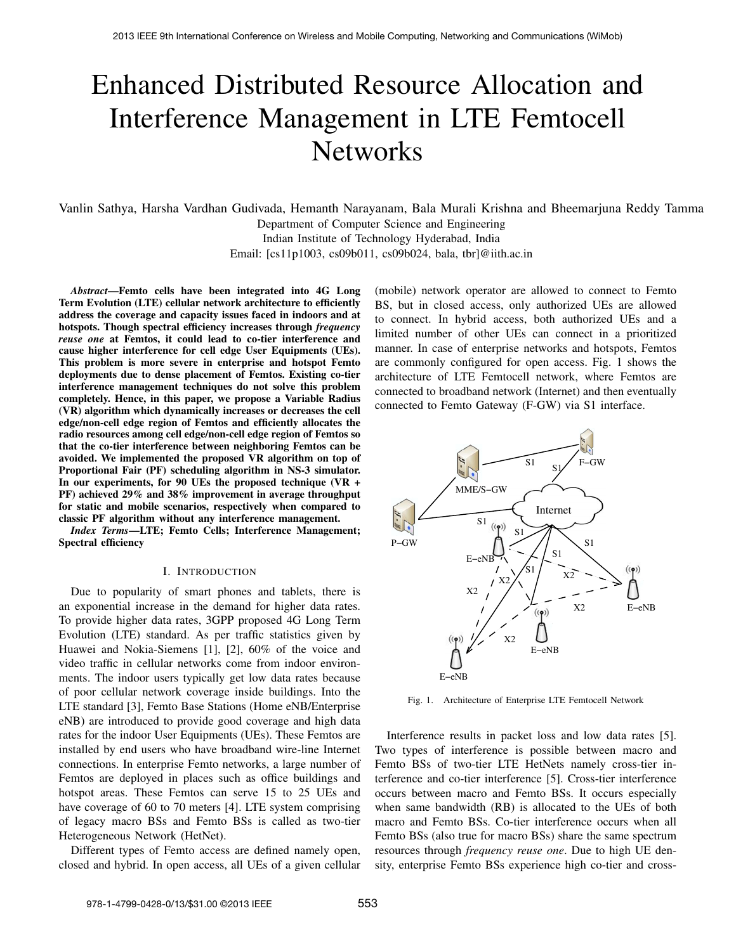# Enhanced Distributed Resource Allocation and Interference Management in LTE Femtocell **Networks**

Vanlin Sathya, Harsha Vardhan Gudivada, Hemanth Narayanam, Bala Murali Krishna and Bheemarjuna Reddy Tamma Department of Computer Science and Engineering Indian Institute of Technology Hyderabad, India

Email: [cs11p1003, cs09b011, cs09b024, bala, tbr]@iith.ac.in

*Abstract*—Femto cells have been integrated into 4G Long Term Evolution (LTE) cellular network architecture to efficiently address the coverage and capacity issues faced in indoors and at hotspots. Though spectral efficiency increases through *frequency reuse one* at Femtos, it could lead to co-tier interference and cause higher interference for cell edge User Equipments (UEs). This problem is more severe in enterprise and hotspot Femto deployments due to dense placement of Femtos. Existing co-tier interference management techniques do not solve this problem completely. Hence, in this paper, we propose a Variable Radius (VR) algorithm which dynamically increases or decreases the cell edge/non-cell edge region of Femtos and efficiently allocates the radio resources among cell edge/non-cell edge region of Femtos so that the co-tier interference between neighboring Femtos can be avoided. We implemented the proposed VR algorithm on top of Proportional Fair (PF) scheduling algorithm in NS-3 simulator. In our experiments, for 90 UEs the proposed technique (VR + PF) achieved 29% and 38% improvement in average throughput for static and mobile scenarios, respectively when compared to classic PF algorithm without any interference management.

*Index Terms*—LTE; Femto Cells; Interference Management; Spectral efficiency

### I. INTRODUCTION

Due to popularity of smart phones and tablets, there is an exponential increase in the demand for higher data rates. To provide higher data rates, 3GPP proposed 4G Long Term Evolution (LTE) standard. As per traffic statistics given by Huawei and Nokia-Siemens [1], [2], 60% of the voice and video traffic in cellular networks come from indoor environments. The indoor users typically get low data rates because of poor cellular network coverage inside buildings. Into the LTE standard [3], Femto Base Stations (Home eNB/Enterprise eNB) are introduced to provide good coverage and high data rates for the indoor User Equipments (UEs). These Femtos are installed by end users who have broadband wire-line Internet connections. In enterprise Femto networks, a large number of Femtos are deployed in places such as office buildings and hotspot areas. These Femtos can serve 15 to 25 UEs and have coverage of 60 to 70 meters [4]. LTE system comprising of legacy macro BSs and Femto BSs is called as two-tier Heterogeneous Network (HetNet).

Different types of Femto access are defined namely open, closed and hybrid. In open access, all UEs of a given cellular (mobile) network operator are allowed to connect to Femto BS, but in closed access, only authorized UEs are allowed to connect. In hybrid access, both authorized UEs and a limited number of other UEs can connect in a prioritized manner. In case of enterprise networks and hotspots, Femtos are commonly configured for open access. Fig. 1 shows the architecture of LTE Femtocell network, where Femtos are connected to broadband network (Internet) and then eventually connected to Femto Gateway (F-GW) via S1 interface.



Fig. 1. Architecture of Enterprise LTE Femtocell Network

Interference results in packet loss and low data rates [5]. Two types of interference is possible between macro and Femto BSs of two-tier LTE HetNets namely cross-tier interference and co-tier interference [5]. Cross-tier interference occurs between macro and Femto BSs. It occurs especially when same bandwidth (RB) is allocated to the UEs of both macro and Femto BSs. Co-tier interference occurs when all Femto BSs (also true for macro BSs) share the same spectrum resources through *frequency reuse one*. Due to high UE density, enterprise Femto BSs experience high co-tier and cross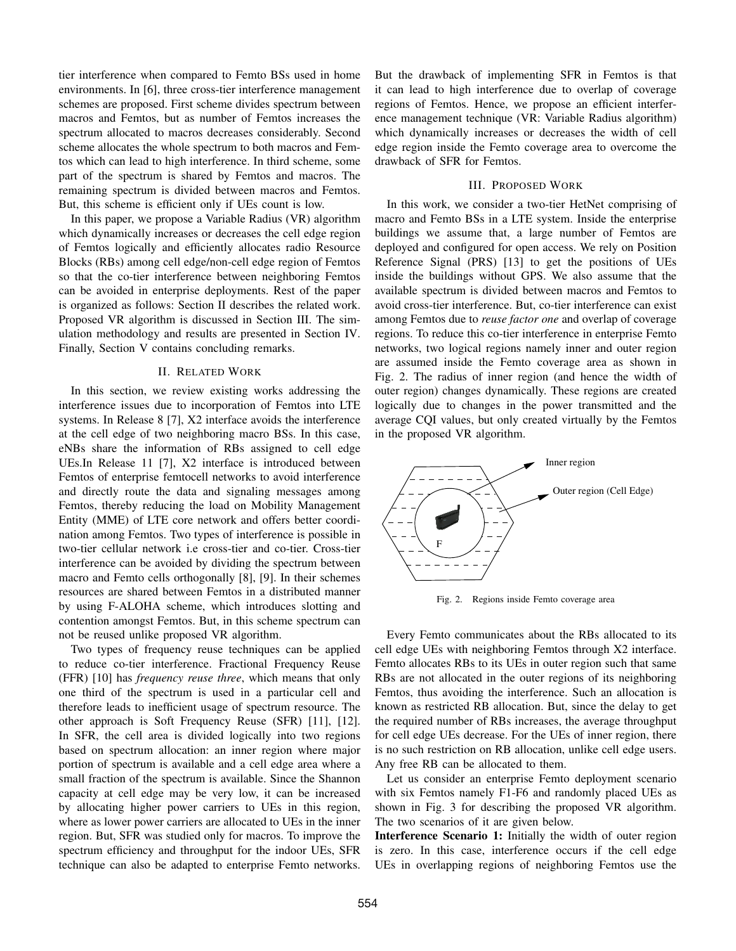tier interference when compared to Femto BSs used in home environments. In [6], three cross-tier interference management schemes are proposed. First scheme divides spectrum between macros and Femtos, but as number of Femtos increases the spectrum allocated to macros decreases considerably. Second scheme allocates the whole spectrum to both macros and Femtos which can lead to high interference. In third scheme, some part of the spectrum is shared by Femtos and macros. The remaining spectrum is divided between macros and Femtos. But, this scheme is efficient only if UEs count is low.

In this paper, we propose a Variable Radius (VR) algorithm which dynamically increases or decreases the cell edge region of Femtos logically and efficiently allocates radio Resource Blocks (RBs) among cell edge/non-cell edge region of Femtos so that the co-tier interference between neighboring Femtos can be avoided in enterprise deployments. Rest of the paper is organized as follows: Section II describes the related work. Proposed VR algorithm is discussed in Section III. The simulation methodology and results are presented in Section IV. Finally, Section V contains concluding remarks.

## II. RELATED WORK

In this section, we review existing works addressing the interference issues due to incorporation of Femtos into LTE systems. In Release 8 [7], X2 interface avoids the interference at the cell edge of two neighboring macro BSs. In this case, eNBs share the information of RBs assigned to cell edge UEs.In Release 11 [7], X2 interface is introduced between Femtos of enterprise femtocell networks to avoid interference and directly route the data and signaling messages among Femtos, thereby reducing the load on Mobility Management Entity (MME) of LTE core network and offers better coordination among Femtos. Two types of interference is possible in two-tier cellular network i.e cross-tier and co-tier. Cross-tier interference can be avoided by dividing the spectrum between macro and Femto cells orthogonally [8], [9]. In their schemes resources are shared between Femtos in a distributed manner by using F-ALOHA scheme, which introduces slotting and contention amongst Femtos. But, in this scheme spectrum can not be reused unlike proposed VR algorithm.

Two types of frequency reuse techniques can be applied to reduce co-tier interference. Fractional Frequency Reuse (FFR) [10] has *frequency reuse three*, which means that only one third of the spectrum is used in a particular cell and therefore leads to inefficient usage of spectrum resource. The other approach is Soft Frequency Reuse (SFR) [11], [12]. In SFR, the cell area is divided logically into two regions based on spectrum allocation: an inner region where major portion of spectrum is available and a cell edge area where a small fraction of the spectrum is available. Since the Shannon capacity at cell edge may be very low, it can be increased by allocating higher power carriers to UEs in this region, where as lower power carriers are allocated to UEs in the inner region. But, SFR was studied only for macros. To improve the spectrum efficiency and throughput for the indoor UEs, SFR technique can also be adapted to enterprise Femto networks. But the drawback of implementing SFR in Femtos is that it can lead to high interference due to overlap of coverage regions of Femtos. Hence, we propose an efficient interference management technique (VR: Variable Radius algorithm) which dynamically increases or decreases the width of cell edge region inside the Femto coverage area to overcome the drawback of SFR for Femtos.

## III. PROPOSED WORK

In this work, we consider a two-tier HetNet comprising of macro and Femto BSs in a LTE system. Inside the enterprise buildings we assume that, a large number of Femtos are deployed and configured for open access. We rely on Position Reference Signal (PRS) [13] to get the positions of UEs inside the buildings without GPS. We also assume that the available spectrum is divided between macros and Femtos to avoid cross-tier interference. But, co-tier interference can exist among Femtos due to *reuse factor one* and overlap of coverage regions. To reduce this co-tier interference in enterprise Femto networks, two logical regions namely inner and outer region are assumed inside the Femto coverage area as shown in Fig. 2. The radius of inner region (and hence the width of outer region) changes dynamically. These regions are created logically due to changes in the power transmitted and the average CQI values, but only created virtually by the Femtos in the proposed VR algorithm.



Fig. 2. Regions inside Femto coverage area

Every Femto communicates about the RBs allocated to its cell edge UEs with neighboring Femtos through X2 interface. Femto allocates RBs to its UEs in outer region such that same RBs are not allocated in the outer regions of its neighboring Femtos, thus avoiding the interference. Such an allocation is known as restricted RB allocation. But, since the delay to get the required number of RBs increases, the average throughput for cell edge UEs decrease. For the UEs of inner region, there is no such restriction on RB allocation, unlike cell edge users. Any free RB can be allocated to them.

Let us consider an enterprise Femto deployment scenario with six Femtos namely F1-F6 and randomly placed UEs as shown in Fig. 3 for describing the proposed VR algorithm. The two scenarios of it are given below.

Interference Scenario 1: Initially the width of outer region is zero. In this case, interference occurs if the cell edge UEs in overlapping regions of neighboring Femtos use the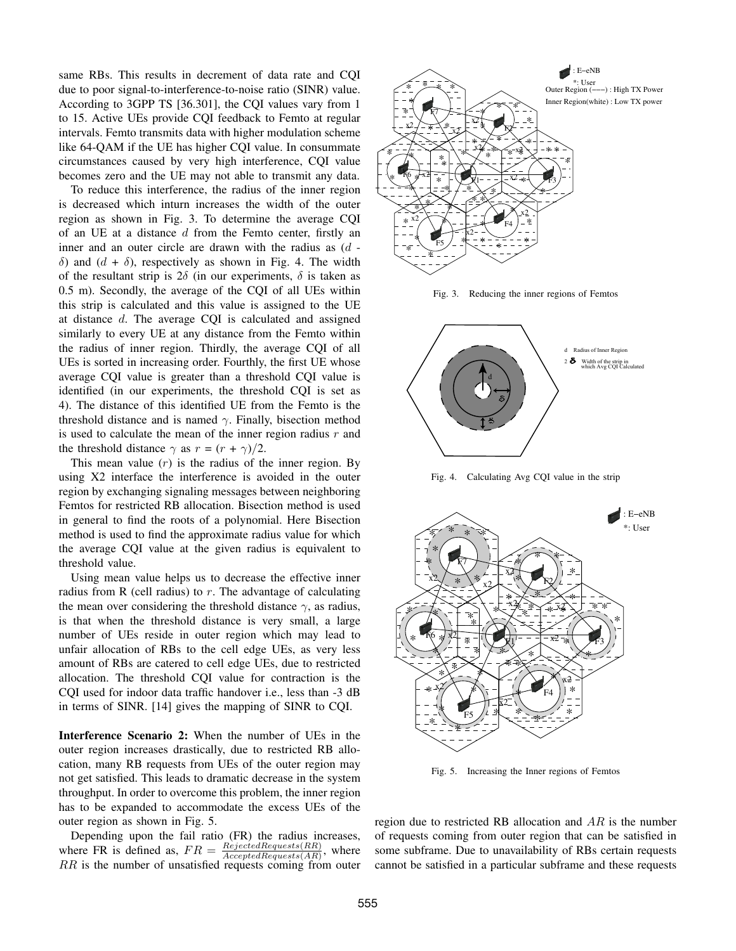same RBs. This results in decrement of data rate and CQI due to poor signal-to-interference-to-noise ratio (SINR) value. According to 3GPP TS [36.301], the CQI values vary from 1 to 15. Active UEs provide CQI feedback to Femto at regular intervals. Femto transmits data with higher modulation scheme like 64-QAM if the UE has higher CQI value. In consummate circumstances caused by very high interference, CQI value becomes zero and the UE may not able to transmit any data.

To reduce this interference, the radius of the inner region is decreased which inturn increases the width of the outer region as shown in Fig. 3. To determine the average CQI of an UE at a distance  $d$  from the Femto center, firstly an inner and an outer circle are drawn with the radius as  $(d$ δ) and  $(d + δ)$ , respectively as shown in Fig. 4. The width of the resultant strip is  $2\delta$  (in our experiments,  $\delta$  is taken as 0.5 m). Secondly, the average of the CQI of all UEs within this strip is calculated and this value is assigned to the UE at distance d. The average CQI is calculated and assigned similarly to every UE at any distance from the Femto within the radius of inner region. Thirdly, the average CQI of all UEs is sorted in increasing order. Fourthly, the first UE whose average CQI value is greater than a threshold CQI value is identified (in our experiments, the threshold CQI is set as 4). The distance of this identified UE from the Femto is the threshold distance and is named  $\gamma$ . Finally, bisection method is used to calculate the mean of the inner region radius  $r$  and the threshold distance  $\gamma$  as  $r = (r + \gamma)/2$ .

This mean value  $(r)$  is the radius of the inner region. By using X2 interface the interference is avoided in the outer region by exchanging signaling messages between neighboring Femtos for restricted RB allocation. Bisection method is used in general to find the roots of a polynomial. Here Bisection method is used to find the approximate radius value for which the average CQI value at the given radius is equivalent to threshold value.

Using mean value helps us to decrease the effective inner radius from R (cell radius) to  $r$ . The advantage of calculating the mean over considering the threshold distance  $\gamma$ , as radius, is that when the threshold distance is very small, a large number of UEs reside in outer region which may lead to unfair allocation of RBs to the cell edge UEs, as very less amount of RBs are catered to cell edge UEs, due to restricted allocation. The threshold CQI value for contraction is the CQI used for indoor data traffic handover i.e., less than -3 dB in terms of SINR. [14] gives the mapping of SINR to CQI.

Interference Scenario 2: When the number of UEs in the outer region increases drastically, due to restricted RB allocation, many RB requests from UEs of the outer region may not get satisfied. This leads to dramatic decrease in the system throughput. In order to overcome this problem, the inner region has to be expanded to accommodate the excess UEs of the outer region as shown in Fig. 5.

Depending upon the fail ratio (FR) the radius increases, where FR is defined as,  $FR = \frac{RejectedRequests(RR)}{AcceptedRequests(RR)}$ , where RR is the number of unsatisfied requests coming from outer



Fig. 3. Reducing the inner regions of Femtos



Fig. 4. Calculating Avg CQI value in the strip



Fig. 5. Increasing the Inner regions of Femtos

region due to restricted RB allocation and  $AR$  is the number of requests coming from outer region that can be satisfied in some subframe. Due to unavailability of RBs certain requests cannot be satisfied in a particular subframe and these requests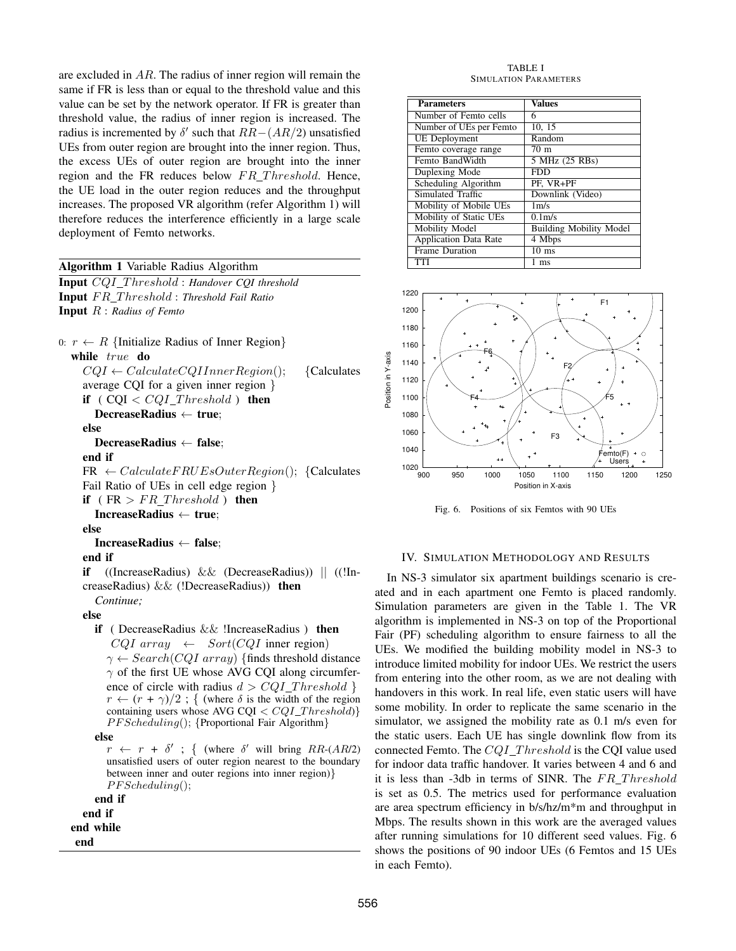are excluded in AR. The radius of inner region will remain the same if FR is less than or equal to the threshold value and this value can be set by the network operator. If FR is greater than threshold value, the radius of inner region is increased. The radius is incremented by  $\delta'$  such that  $RR-(AR/2)$  unsatisfied UEs from outer region are brought into the inner region. Thus, the excess UEs of outer region are brought into the inner region and the FR reduces below  $FR\_Threshold$ . Hence, the UE load in the outer region reduces and the throughput increases. The proposed VR algorithm (refer Algorithm 1) will therefore reduces the interference efficiently in a large scale deployment of Femto networks.

## Algorithm 1 Variable Radius Algorithm

Input CQI T hreshold : *Handover CQI threshold* Input  $FR\_Threshold: Threshold$  *Fail Ratio* Input R : *Radius of Femto*

0:  $r \leftarrow R$  {Initialize Radius of Inner Region} while true do  $CQI \leftarrow Calculate CQIInnerRegion();$  {Calculates average CQI for a given inner region } if  $(CQI < CQI_Threshold)$  then DecreaseRadius ← true; else DecreaseRadius ← false; end if  $FR \leftarrow CalculateFRUEsOuterRegion();$  {Calculates Fail Ratio of UEs in cell edge region } if ( $FR > FR\_Threshold$ ) then IncreaseRadius ← true; else

## IncreaseRadius ← false;

end if

if ((IncreaseRadius) && (DecreaseRadius)) || ((!IncreaseRadius) && (!DecreaseRadius)) then *Continue;*

## else

if ( DecreaseRadius && !IncreaseRadius ) then  $CQI$  array  $\leftarrow$  Sort(CQI inner region)  $\gamma \leftarrow Search(CQI\ array)$  {finds threshold distance  $\gamma$  of the first UE whose AVG CQI along circumference of circle with radius  $d > CQI$  Threshold }  $r \leftarrow (r + \gamma)/2$ ; { (where  $\delta$  is the width of the region containing users whose AVG CQI  $\langle CQI\_Threshold \rangle$ PF Scheduling(); {Proportional Fair Algorithm}

else

 $r \leftarrow r + \delta'$ ; { (where  $\delta'$  will bring RR-(AR/2) unsatisfied users of outer region nearest to the boundary between inner and outer regions into inner region)}  $PFScheduling();$ 

```
end if
  end if
end while
```
end

TABLE I SIMULATION PARAMETERS

| <b>Parameters</b>            | <b>Values</b>                  |
|------------------------------|--------------------------------|
| Number of Femto cells        | 6                              |
| Number of UEs per Femto      | 10, 15                         |
| <b>UE</b> Deployment         | Random                         |
| Femto coverage range         | 70 <sub>m</sub>                |
| Femto BandWidth              | 5 MHz (25 RBs)                 |
| Duplexing Mode               | FDD                            |
| Scheduling Algorithm         | PF, VR+PF                      |
| Simulated Traffic            | Downlink (Video)               |
| Mobility of Mobile UEs       | 1 <sub>m/s</sub>               |
| Mobility of Static UEs       | 0.1 <sub>m/s</sub>             |
| Mobility Model               | <b>Building Mobility Model</b> |
| <b>Application Data Rate</b> | 4 Mbps                         |
| <b>Frame Duration</b>        | $10 \text{ ms}$                |
| TTI                          | 1 ms                           |



Fig. 6. Positions of six Femtos with 90 UEs

## IV. SIMULATION METHODOLOGY AND RESULTS

In NS-3 simulator six apartment buildings scenario is created and in each apartment one Femto is placed randomly. Simulation parameters are given in the Table 1. The VR algorithm is implemented in NS-3 on top of the Proportional Fair (PF) scheduling algorithm to ensure fairness to all the UEs. We modified the building mobility model in NS-3 to introduce limited mobility for indoor UEs. We restrict the users from entering into the other room, as we are not dealing with handovers in this work. In real life, even static users will have some mobility. In order to replicate the same scenario in the simulator, we assigned the mobility rate as 0.1 m/s even for the static users. Each UE has single downlink flow from its connected Femto. The  $CQI$ <sub>I</sub>Threshold is the CQI value used for indoor data traffic handover. It varies between 4 and 6 and it is less than -3db in terms of SINR. The  $FR\_Threshold$ is set as 0.5. The metrics used for performance evaluation are area spectrum efficiency in b/s/hz/m\*m and throughput in Mbps. The results shown in this work are the averaged values after running simulations for 10 different seed values. Fig. 6 shows the positions of 90 indoor UEs (6 Femtos and 15 UEs in each Femto).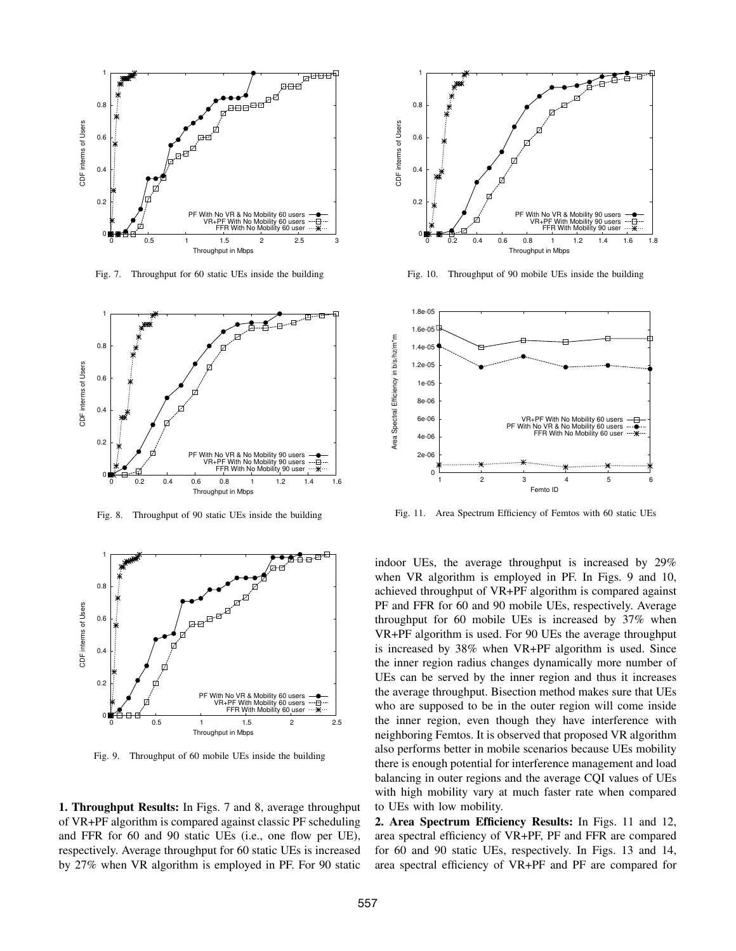

Fig. 7. Throughput for 60 static UEs inside the building



Fig. 8. Throughput of 90 static UEs inside the building



Fig. 9. Throughput of 60 mobile UEs inside the building

1. Throughput Results: In Figs. 7 and 8, average throughput of VR+PF algorithm is compared against classic PF scheduling and FFR for 60 and 90 static UEs (i.e., one flow per UE), respectively. Average throughput for 60 static UEs is increased by 27% when VR algorithm is employed in PF. For 90 static



Fig. 10. Throughput of 90 mobile UEs inside the building



Fig. 11. Area Spectrum Efficiency of Femtos with 60 static UEs

indoor UEs, the average throughput is increased by 29% when VR algorithm is employed in PF. In Figs. 9 and 10, achieved throughput of VR+PF algorithm is compared against PF and FFR for 60 and 90 mobile UEs, respectively. Average throughput for 60 mobile UEs is increased by 37% when VR+PF algorithm is used. For 90 UEs the average throughput is increased by 38% when VR+PF algorithm is used. Since the inner region radius changes dynamically more number of UEs can be served by the inner region and thus it increases the average throughput. Bisection method makes sure that UEs who are supposed to be in the outer region will come inside the inner region, even though they have interference with neighboring Femtos. It is observed that proposed VR algorithm also performs better in mobile scenarios because UEs mobility there is enough potential for interference management and load balancing in outer regions and the average CQI values of UEs with high mobility vary at much faster rate when compared to UEs with low mobility.

2. Area Spectrum Efficiency Results: In Figs. 11 and 12, area spectral efficiency of VR+PF, PF and FFR are compared for 60 and 90 static UEs, respectively. In Figs. 13 and 14, area spectral efficiency of VR+PF and PF are compared for